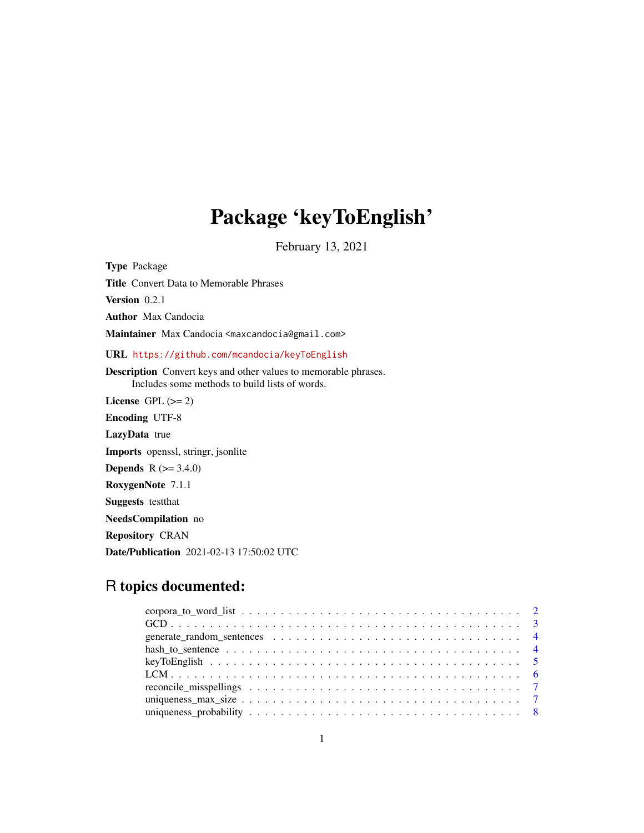# Package 'keyToEnglish'

February 13, 2021

Type Package Title Convert Data to Memorable Phrases Version 0.2.1 Author Max Candocia Maintainer Max Candocia <maxcandocia@gmail.com> URL <https://github.com/mcandocia/keyToEnglish> Description Convert keys and other values to memorable phrases. Includes some methods to build lists of words. License GPL  $(>= 2)$ Encoding UTF-8 LazyData true Imports openssl, stringr, jsonlite **Depends** R  $(>= 3.4.0)$ RoxygenNote 7.1.1 Suggests testthat NeedsCompilation no

Repository CRAN

Date/Publication 2021-02-13 17:50:02 UTC

# R topics documented: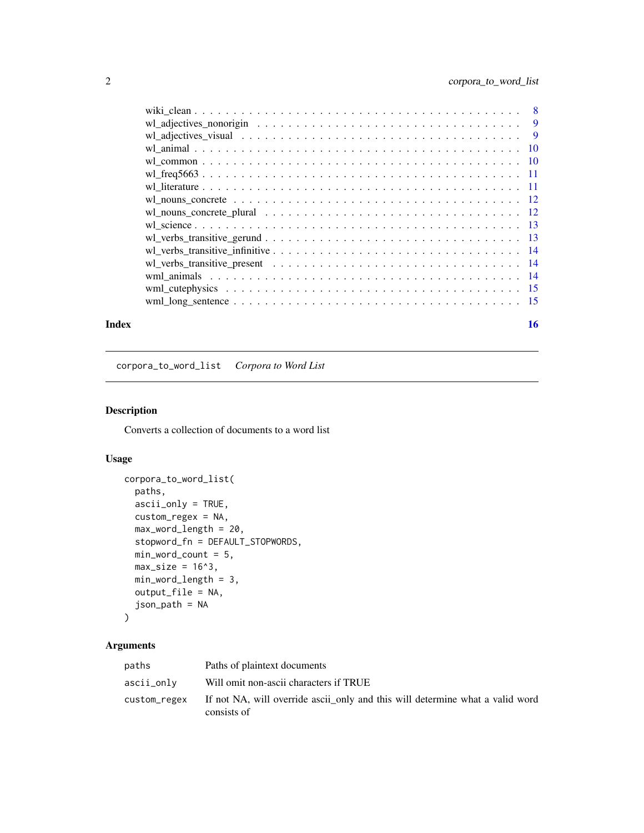<span id="page-1-0"></span>

| $\overline{8}$ |  |
|----------------|--|
|                |  |
|                |  |
|                |  |
|                |  |
|                |  |
|                |  |
|                |  |
|                |  |
|                |  |
|                |  |
|                |  |
|                |  |
|                |  |
|                |  |
|                |  |
|                |  |

#### **Index** and the contract of the contract of the contract of the contract of the contract of the contract of the contract of the contract of the contract of the contract of the contract of the contract of the contract of th

corpora\_to\_word\_list *Corpora to Word List*

# Description

Converts a collection of documents to a word list

#### Usage

```
corpora_to_word_list(
  paths,
  ascii_only = TRUE,
  custom_regex = NA,
  max_word_length = 20,
  stopword_fn = DEFAULT_STOPWORDS,
  min_word_count = 5,
  max\_size = 16^3,
  min_word_length = 3,
  output_file = NA,
  json_path = NA
)
```
#### Arguments

| paths      | Paths of plaintext documents                                                                              |
|------------|-----------------------------------------------------------------------------------------------------------|
| ascii_onlv | Will omit non-ascii characters if TRUE                                                                    |
|            | custom_regex If not NA, will override ascii_only and this will determine what a valid word<br>consists of |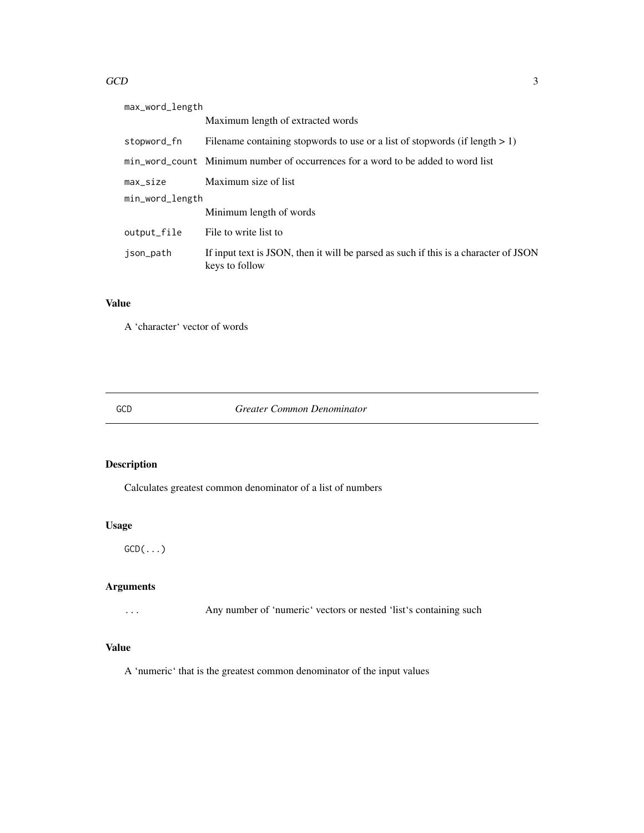#### <span id="page-2-0"></span> $GCD$  3

| max_word_length |                                                                                                        |  |
|-----------------|--------------------------------------------------------------------------------------------------------|--|
|                 | Maximum length of extracted words                                                                      |  |
| stopword_fn     | Filename containing stopwords to use or a list of stopwords (if length $> 1$ )                         |  |
|                 | min word count Minimum number of occurrences for a word to be added to word list                       |  |
| max_size        | Maximum size of list                                                                                   |  |
| min_word_length |                                                                                                        |  |
|                 | Minimum length of words                                                                                |  |
| output_file     | File to write list to                                                                                  |  |
| json_path       | If input text is JSON, then it will be parsed as such if this is a character of JSON<br>keys to follow |  |

# Value

A 'character' vector of words

#### GCD *Greater Common Denominator*

# Description

Calculates greatest common denominator of a list of numbers

# Usage

 $GCD(\ldots)$ 

# Arguments

... Any number of 'numeric' vectors or nested 'list's containing such

# Value

A 'numeric' that is the greatest common denominator of the input values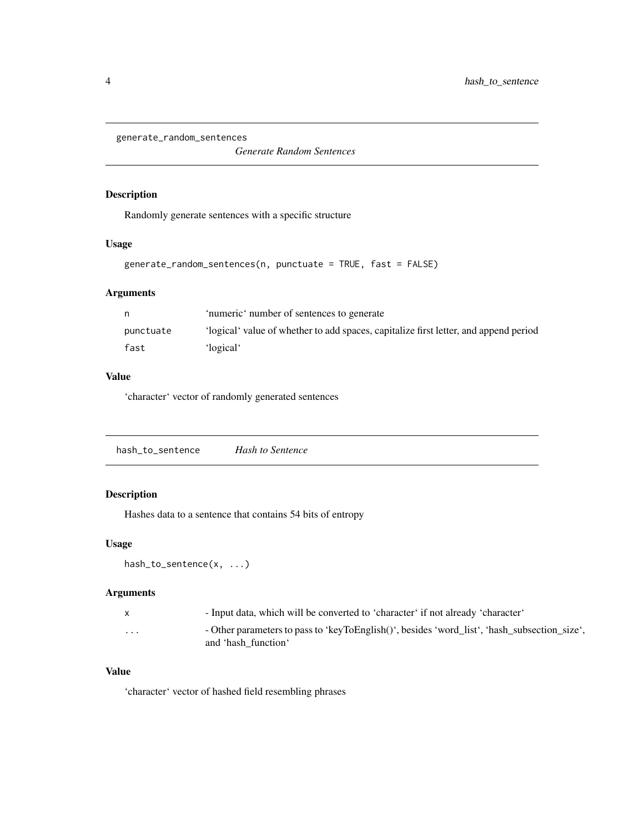<span id="page-3-0"></span>generate\_random\_sentences

*Generate Random Sentences*

#### Description

Randomly generate sentences with a specific structure

#### Usage

```
generate_random_sentences(n, punctuate = TRUE, fast = FALSE)
```
#### Arguments

|           | 'numeric' number of sentences to generate                                            |
|-----------|--------------------------------------------------------------------------------------|
| punctuate | 'logical' value of whether to add spaces, capitalize first letter, and append period |
| fast      | 'logical'                                                                            |

# Value

'character' vector of randomly generated sentences

|--|

# Description

Hashes data to a sentence that contains 54 bits of entropy

### Usage

```
hash_to_sentence(x, ...)
```
#### Arguments

| $\mathsf{x}$ | - Input data, which will be converted to 'character' if not already 'character'                                     |
|--------------|---------------------------------------------------------------------------------------------------------------------|
| $\cdots$     | - Other parameters to pass to 'keyToEnglish()', besides 'word list', 'hash subsection size',<br>and 'hash function' |

# Value

'character' vector of hashed field resembling phrases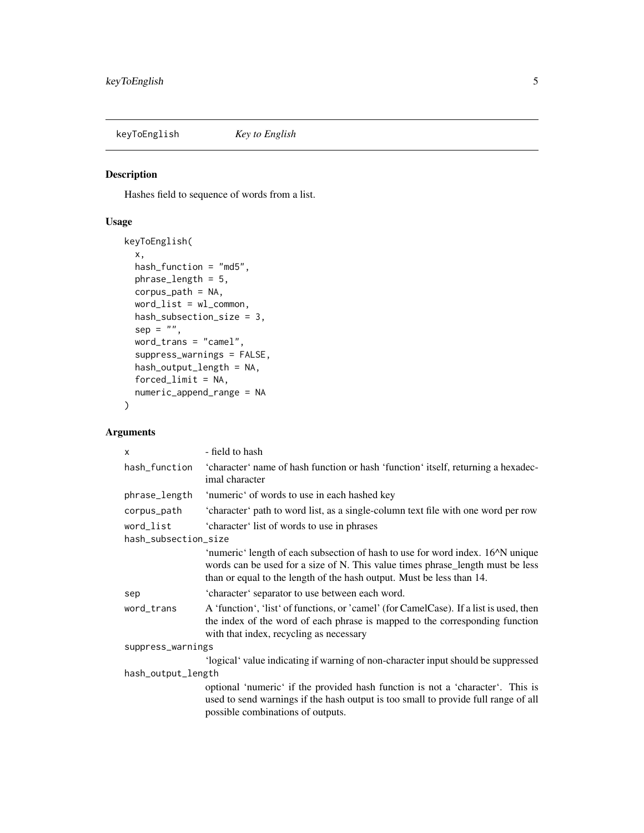<span id="page-4-0"></span>keyToEnglish *Key to English*

# Description

Hashes field to sequence of words from a list.

#### Usage

```
keyToEnglish(
 x,
 hash_function = "md5",
 phrase_length = 5,
 corpus_path = NA,
 word_list = wl_common,
 hash_subsection_size = 3,
 sep = "",word_trans = "camel",
  suppress_warnings = FALSE,
 hash_output_length = NA,
 forced_limit = NA,
 numeric_append_range = NA
)
```
# Arguments

| $\mathsf{x}$         | - field to hash                                                                                                                                                                                                                                                         |  |
|----------------------|-------------------------------------------------------------------------------------------------------------------------------------------------------------------------------------------------------------------------------------------------------------------------|--|
| hash_function        | 'character' name of hash function or hash 'function' itself, returning a hexadec-<br>imal character                                                                                                                                                                     |  |
| phrase_length        | 'numeric' of words to use in each hashed key                                                                                                                                                                                                                            |  |
| corpus_path          | 'character' path to word list, as a single-column text file with one word per row                                                                                                                                                                                       |  |
| word_list            | 'character' list of words to use in phrases                                                                                                                                                                                                                             |  |
| hash_subsection_size |                                                                                                                                                                                                                                                                         |  |
|                      | 'numeric' length of each subsection of hash to use for word index. 16 <sup><math>\land</math></sup> N unique<br>words can be used for a size of N. This value times phrase_length must be less<br>than or equal to the length of the hash output. Must be less than 14. |  |
| sep                  | 'character' separator to use between each word.                                                                                                                                                                                                                         |  |
| word_trans           | A 'function', 'list' of functions, or 'camel' (for CamelCase). If a list is used, then<br>the index of the word of each phrase is mapped to the corresponding function<br>with that index, recycling as necessary                                                       |  |
| suppress_warnings    |                                                                                                                                                                                                                                                                         |  |
|                      | 'logical' value indicating if warning of non-character input should be suppressed                                                                                                                                                                                       |  |
| hash_output_length   |                                                                                                                                                                                                                                                                         |  |
|                      | optional 'numeric' if the provided hash function is not a 'character'. This is<br>used to send warnings if the hash output is too small to provide full range of all<br>possible combinations of outputs.                                                               |  |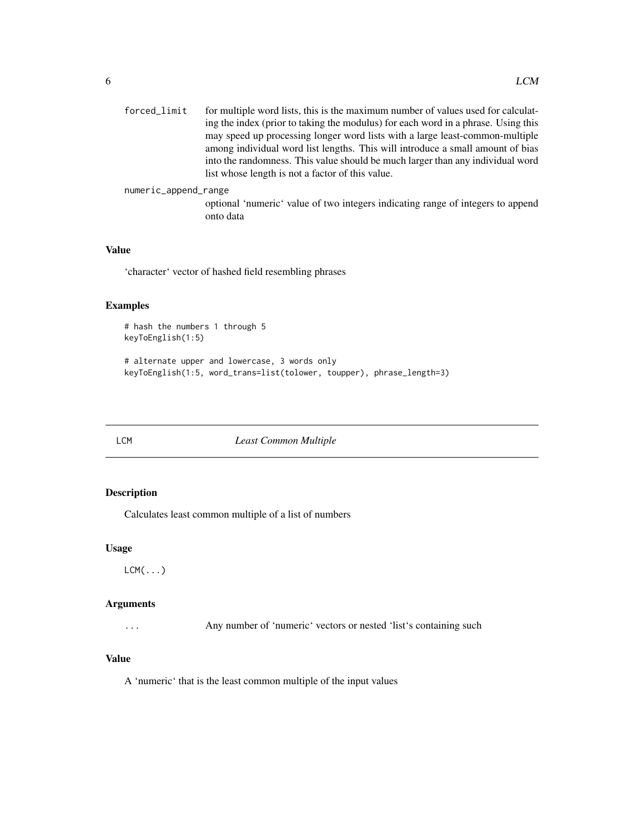<span id="page-5-0"></span>

| forced_limit         | for multiple word lists, this is the maximum number of values used for calculat-  |
|----------------------|-----------------------------------------------------------------------------------|
|                      | ing the index (prior to taking the modulus) for each word in a phrase. Using this |
|                      | may speed up processing longer word lists with a large least-common-multiple      |
|                      | among individual word list lengths. This will introduce a small amount of bias    |
|                      | into the randomness. This value should be much larger than any individual word    |
|                      | list whose length is not a factor of this value.                                  |
| numeric_append_range |                                                                                   |

optional 'numeric' value of two integers indicating range of integers to append onto data

# Value

'character' vector of hashed field resembling phrases

# Examples

```
# hash the numbers 1 through 5
keyToEnglish(1:5)
```
# alternate upper and lowercase, 3 words only keyToEnglish(1:5, word\_trans=list(tolower, toupper), phrase\_length=3)

LCM *Least Common Multiple*

# Description

Calculates least common multiple of a list of numbers

#### Usage

 $LCM$  $( \ldots )$ 

#### Arguments

... Any number of 'numeric' vectors or nested 'list's containing such

# Value

A 'numeric' that is the least common multiple of the input values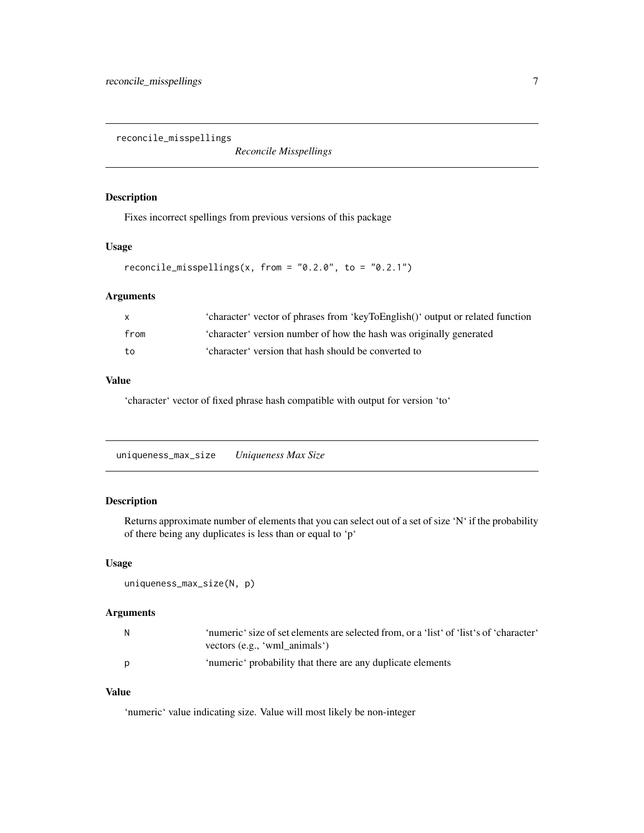<span id="page-6-0"></span>reconcile\_misspellings

*Reconcile Misspellings*

#### Description

Fixes incorrect spellings from previous versions of this package

#### Usage

```
reconcile_misspellings(x, from = "0.2.0", to = "0.2.1")
```
#### Arguments

| X.   | 'character' vector of phrases from 'keyToEnglish()' output or related function |
|------|--------------------------------------------------------------------------------|
| from | 'character' version number of how the hash was originally generated            |
| to   | 'character' version that hash should be converted to                           |

## Value

'character' vector of fixed phrase hash compatible with output for version 'to'

uniqueness\_max\_size *Uniqueness Max Size*

# Description

Returns approximate number of elements that you can select out of a set of size 'N' if the probability of there being any duplicates is less than or equal to 'p'

#### Usage

```
uniqueness_max_size(N, p)
```
# Arguments

| N. | 'numeric' size of set elements are selected from, or a 'list' of 'list's of 'character'<br>vectors (e.g., 'wml animals') |
|----|--------------------------------------------------------------------------------------------------------------------------|
| p  | 'numeric' probability that there are any duplicate elements                                                              |

# Value

'numeric' value indicating size. Value will most likely be non-integer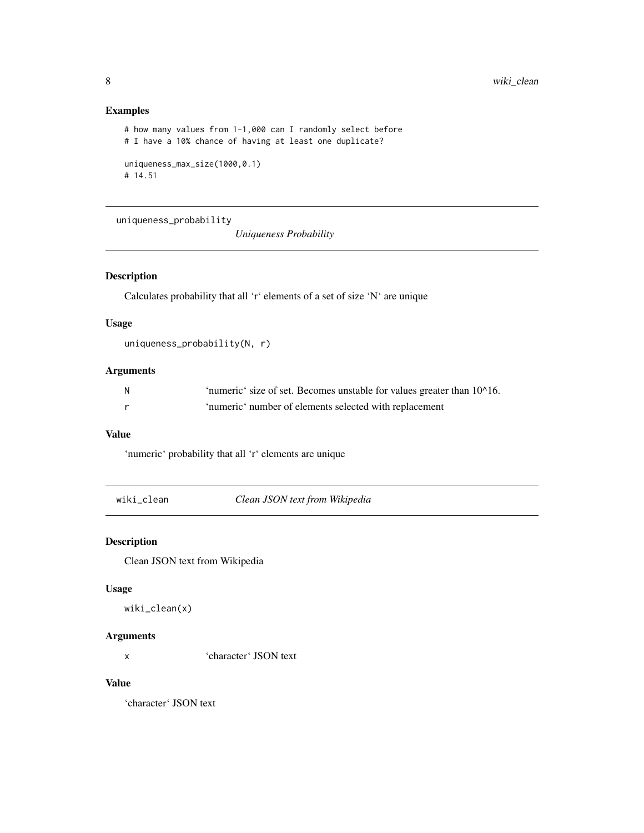#### Examples

```
# how many values from 1-1,000 can I randomly select before
# I have a 10% chance of having at least one duplicate?
uniqueness_max_size(1000,0.1)
# 14.51
```
uniqueness\_probability

*Uniqueness Probability*

#### Description

Calculates probability that all 'r' elements of a set of size 'N' are unique

# Usage

```
uniqueness_probability(N, r)
```
# Arguments

| - N | 'numeric' size of set. Becomes unstable for values greater than 10^16. |
|-----|------------------------------------------------------------------------|
|     | 'numeric' number of elements selected with replacement                 |

# Value

'numeric' probability that all 'r' elements are unique

wiki\_clean *Clean JSON text from Wikipedia*

### Description

Clean JSON text from Wikipedia

#### Usage

wiki\_clean(x)

#### Arguments

x 'character' JSON text

#### Value

'character' JSON text

<span id="page-7-0"></span>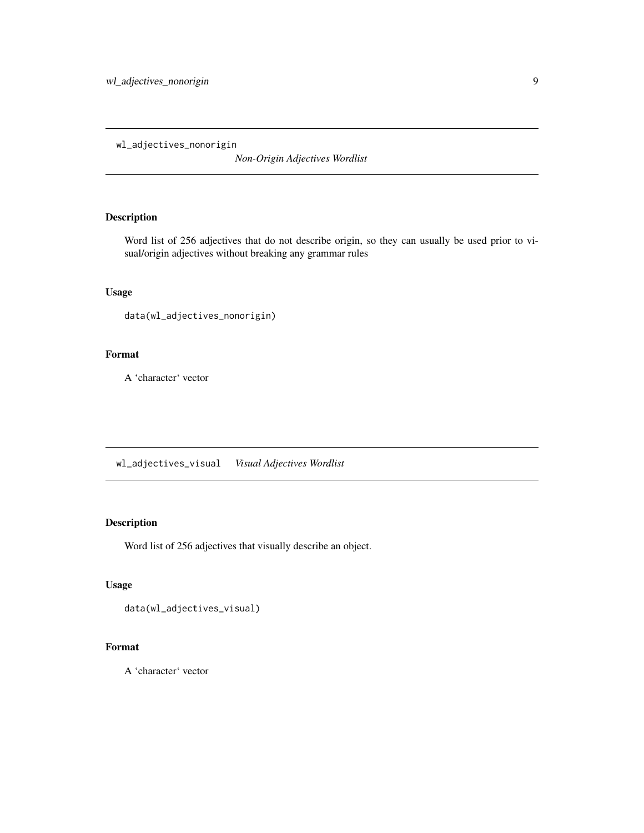<span id="page-8-0"></span>wl\_adjectives\_nonorigin

*Non-Origin Adjectives Wordlist*

#### Description

Word list of 256 adjectives that do not describe origin, so they can usually be used prior to visual/origin adjectives without breaking any grammar rules

#### Usage

```
data(wl_adjectives_nonorigin)
```
# Format

A 'character' vector

wl\_adjectives\_visual *Visual Adjectives Wordlist*

# Description

Word list of 256 adjectives that visually describe an object.

# Usage

```
data(wl_adjectives_visual)
```
#### Format

A 'character' vector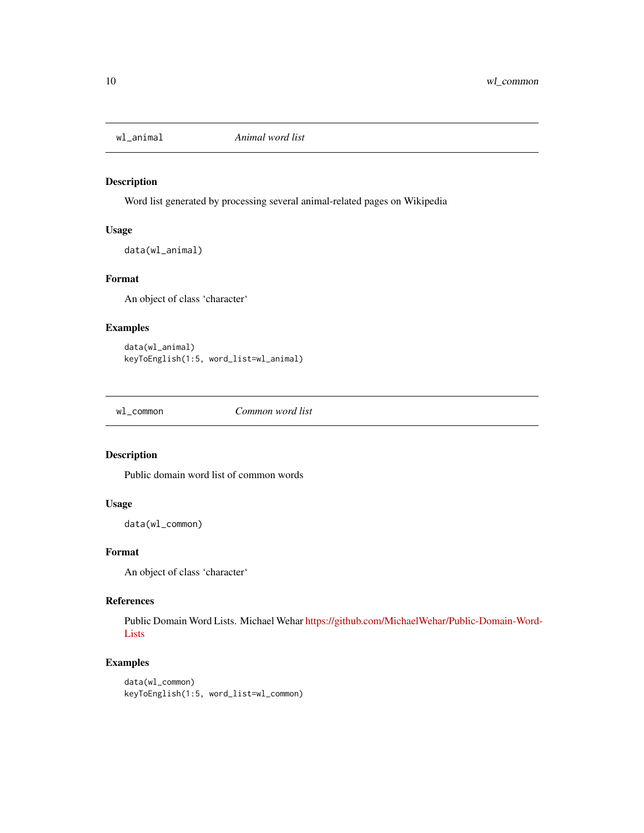<span id="page-9-0"></span>

#### Description

Word list generated by processing several animal-related pages on Wikipedia

#### Usage

data(wl\_animal)

#### Format

An object of class 'character'

#### Examples

```
data(wl_animal)
keyToEnglish(1:5, word_list=wl_animal)
```
wl\_common *Common word list*

#### Description

Public domain word list of common words

#### Usage

data(wl\_common)

#### Format

An object of class 'character'

# References

Public Domain Word Lists. Michael Wehar [https://github.com/MichaelWehar/Public-Domain-Word-](https://github.com/MichaelWehar/Public-Domain-Word-Lists)[Lists](https://github.com/MichaelWehar/Public-Domain-Word-Lists)

#### Examples

```
data(wl_common)
keyToEnglish(1:5, word_list=wl_common)
```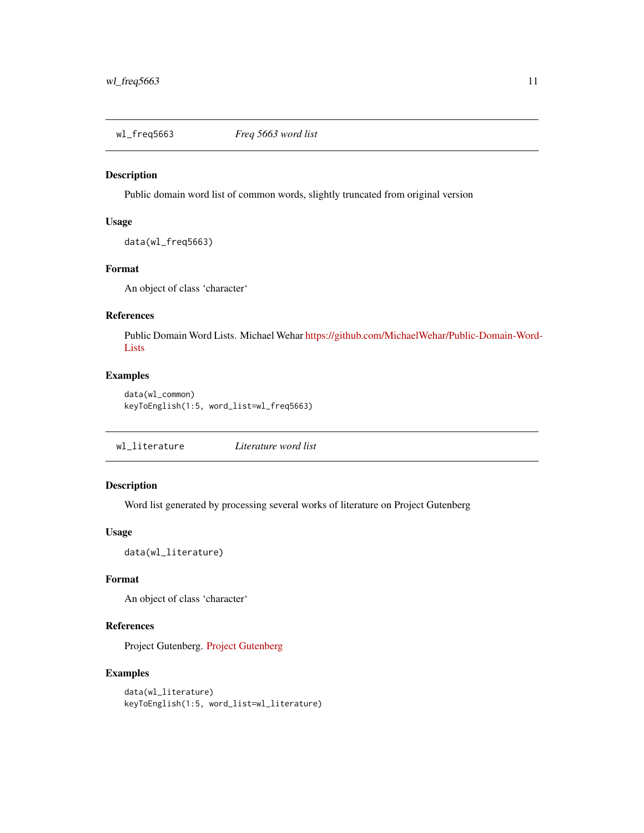<span id="page-10-0"></span>

#### Description

Public domain word list of common words, slightly truncated from original version

#### Usage

data(wl\_freq5663)

#### Format

An object of class 'character'

#### References

Public Domain Word Lists. Michael Wehar [https://github.com/MichaelWehar/Public-Domain-Word-](https://github.com/MichaelWehar/Public-Domain-Word-Lists)[Lists](https://github.com/MichaelWehar/Public-Domain-Word-Lists)

#### Examples

```
data(wl_common)
keyToEnglish(1:5, word_list=wl_freq5663)
```
wl\_literature *Literature word list*

# Description

Word list generated by processing several works of literature on Project Gutenberg

#### Usage

data(wl\_literature)

#### Format

An object of class 'character'

# References

Project Gutenberg. [Project Gutenberg](https://gutenberg.org)

#### Examples

```
data(wl_literature)
keyToEnglish(1:5, word_list=wl_literature)
```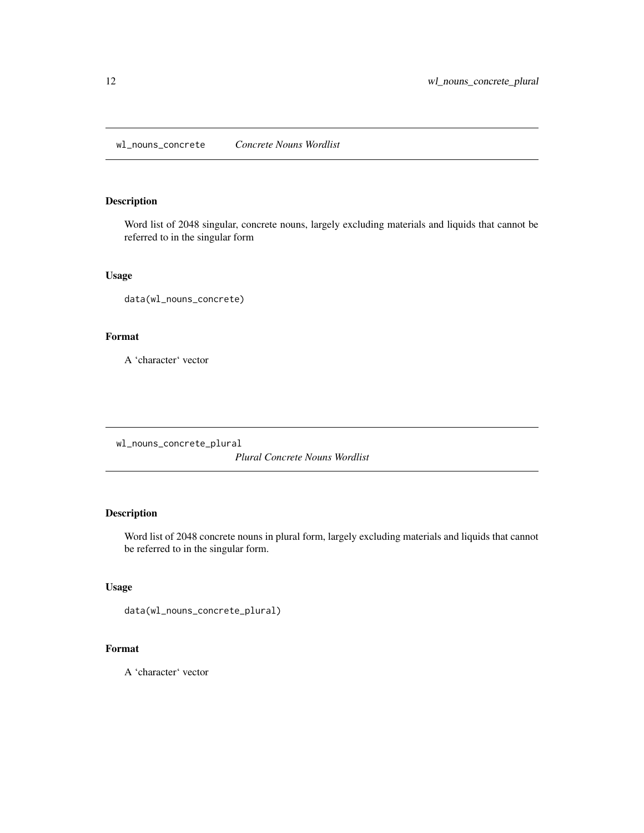<span id="page-11-0"></span>wl\_nouns\_concrete *Concrete Nouns Wordlist*

#### Description

Word list of 2048 singular, concrete nouns, largely excluding materials and liquids that cannot be referred to in the singular form

### Usage

data(wl\_nouns\_concrete)

# Format

A 'character' vector

wl\_nouns\_concrete\_plural

*Plural Concrete Nouns Wordlist*

# Description

Word list of 2048 concrete nouns in plural form, largely excluding materials and liquids that cannot be referred to in the singular form.

# Usage

```
data(wl_nouns_concrete_plural)
```
# Format

A 'character' vector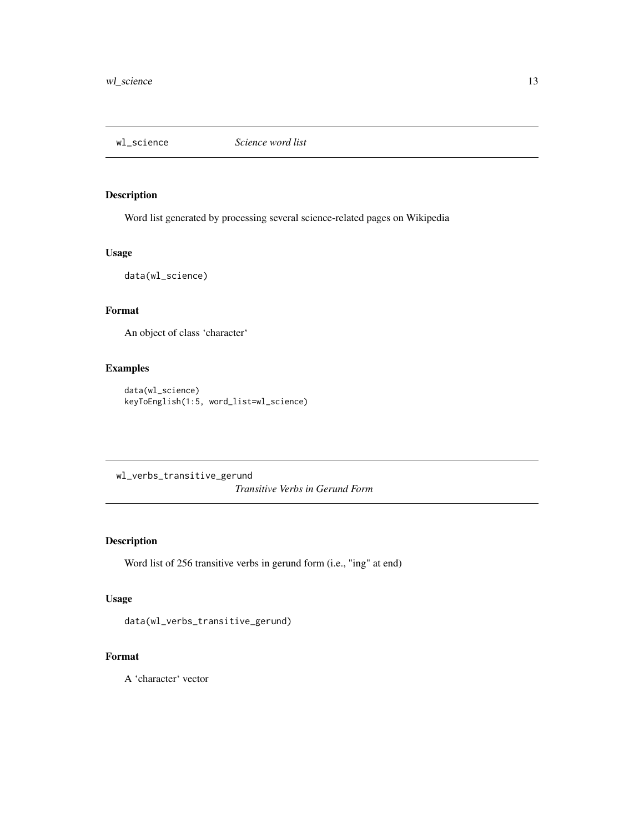<span id="page-12-0"></span>

#### Description

Word list generated by processing several science-related pages on Wikipedia

#### Usage

data(wl\_science)

# Format

An object of class 'character'

#### Examples

```
data(wl_science)
keyToEnglish(1:5, word_list=wl_science)
```
wl\_verbs\_transitive\_gerund *Transitive Verbs in Gerund Form*

# Description

Word list of 256 transitive verbs in gerund form (i.e., "ing" at end)

# Usage

```
data(wl_verbs_transitive_gerund)
```
# Format

A 'character' vector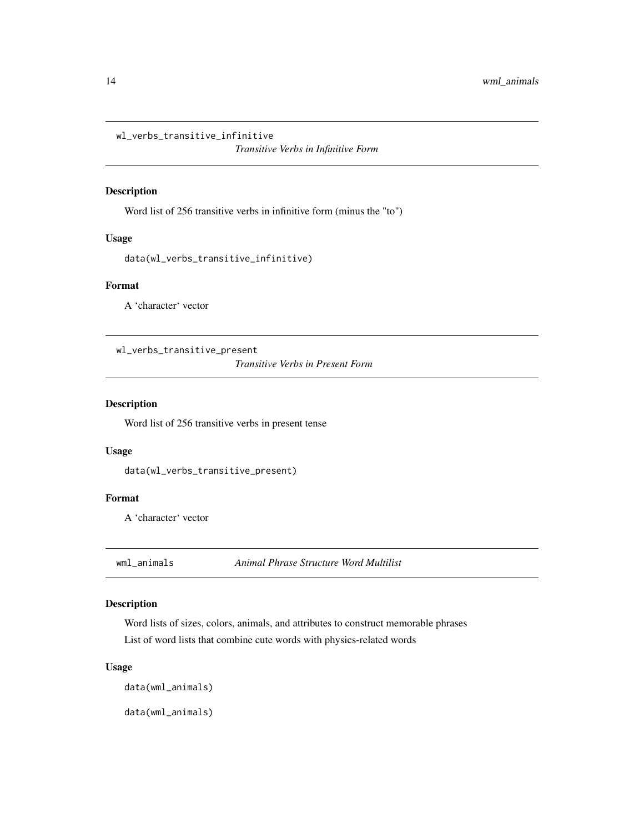<span id="page-13-0"></span>wl\_verbs\_transitive\_infinitive

*Transitive Verbs in Infinitive Form*

#### Description

Word list of 256 transitive verbs in infinitive form (minus the "to")

#### Usage

```
data(wl_verbs_transitive_infinitive)
```
#### Format

A 'character' vector

wl\_verbs\_transitive\_present

*Transitive Verbs in Present Form*

#### Description

Word list of 256 transitive verbs in present tense

#### Usage

data(wl\_verbs\_transitive\_present)

# Format

A 'character' vector

wml\_animals *Animal Phrase Structure Word Multilist*

#### Description

Word lists of sizes, colors, animals, and attributes to construct memorable phrases List of word lists that combine cute words with physics-related words

#### Usage

data(wml\_animals)

data(wml\_animals)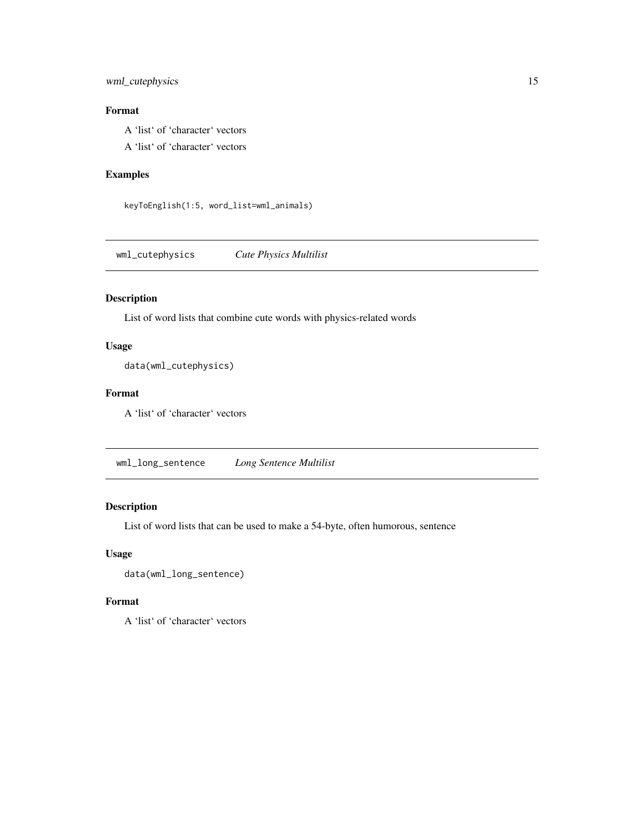#### <span id="page-14-0"></span>wml\_cutephysics 15

# Format

A 'list' of 'character' vectors

A 'list' of 'character' vectors

### Examples

keyToEnglish(1:5, word\_list=wml\_animals)

wml\_cutephysics *Cute Physics Multilist*

# Description

List of word lists that combine cute words with physics-related words

#### Usage

data(wml\_cutephysics)

# Format

A 'list' of 'character' vectors

wml\_long\_sentence *Long Sentence Multilist*

# Description

List of word lists that can be used to make a 54-byte, often humorous, sentence

#### Usage

data(wml\_long\_sentence)

# Format

A 'list' of 'character' vectors